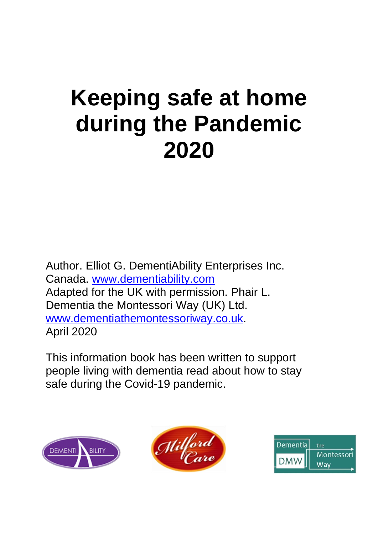# **Keeping safe at home during the Pandemic 2020**

Author. Elliot G. DementiAbility Enterprises Inc. Canada. [www.dementiability.com](http://www.dementiability.com/) Adapted for the UK with permission. Phair L. Dementia the Montessori Way (UK) Ltd. [www.dementiathemontessoriway.co.uk.](http://www.dementiathemontessoriway.co.uk/) April 2020

This information book has been written to support people living with dementia read about how to stay safe during the Covid-19 pandemic.





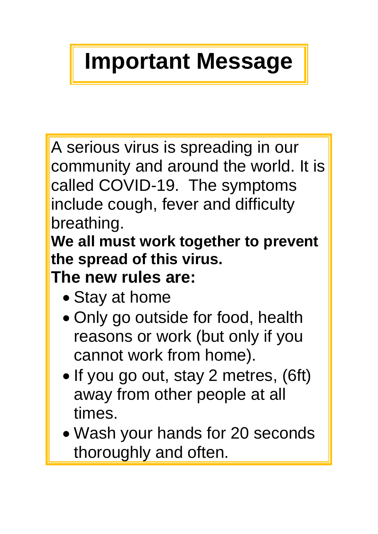# **Important Message**

A serious virus is spreading in our community and around the world. It is called COVID-19. The symptoms include cough, fever and difficulty breathing.

**We all must work together to prevent the spread of this virus.**

**The new rules are:**

- Stay at home
- Only go outside for food, health reasons or work (but only if you cannot work from home).
- If you go out, stay 2 metres, (6ft) away from other people at all times.
- Wash your hands for 20 seconds thoroughly and often.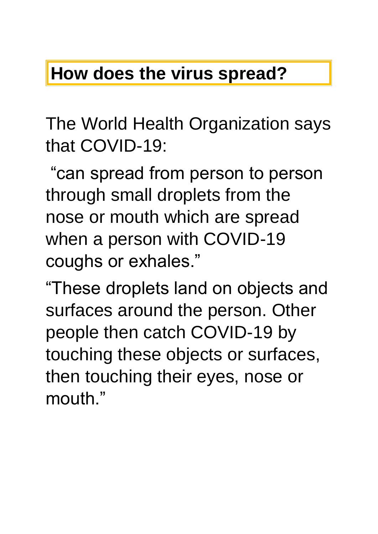### **How does the virus spread?**

The World Health Organization says that COVID-19:

"can spread from person to person through small droplets from the nose or mouth which are spread when a person with COVID-19 coughs or exhales."

"These droplets land on objects and surfaces around the person. Other people then catch COVID-19 by touching these objects or surfaces, then touching their eyes, nose or mouth."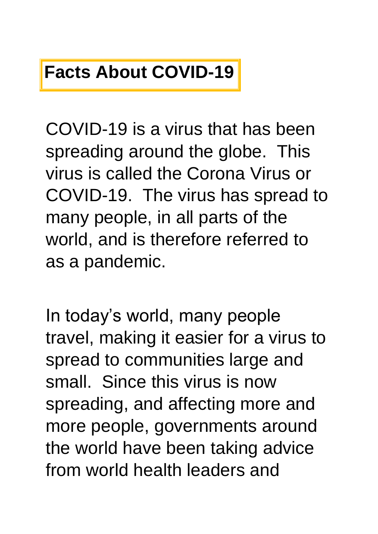### **Facts About COVID-19**

COVID-19 is a virus that has been spreading around the globe. This virus is called the Corona Virus or COVID-19. The virus has spread to many people, in all parts of the world, and is therefore referred to as a pandemic.

In today's world, many people travel, making it easier for a virus to spread to communities large and small. Since this virus is now spreading, and affecting more and more people, governments around the world have been taking advice from world health leaders and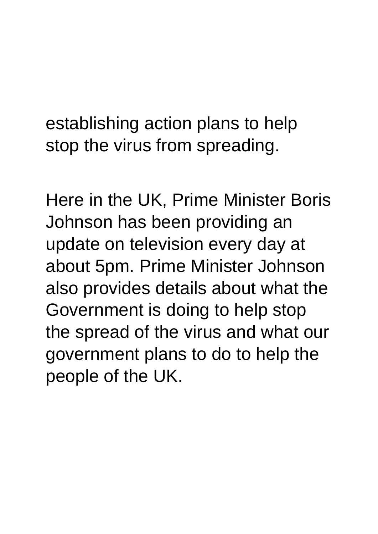establishing action plans to help stop the virus from spreading.

Here in the UK, Prime Minister Boris Johnson has been providing an update on television every day at about 5pm. Prime Minister Johnson also provides details about what the Government is doing to help stop the spread of the virus and what our government plans to do to help the people of the UK.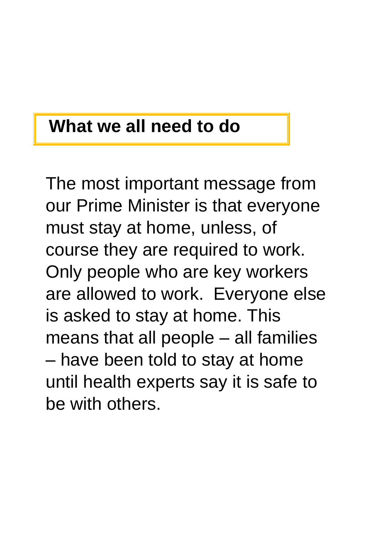#### **What we all need to do**

The most important message from our Prime Minister is that everyone must stay at home, unless, of course they are required to work. Only people who are key workers are allowed to work. Everyone else is asked to stay at home. This means that all people – all families – have been told to stay at home until health experts say it is safe to be with others.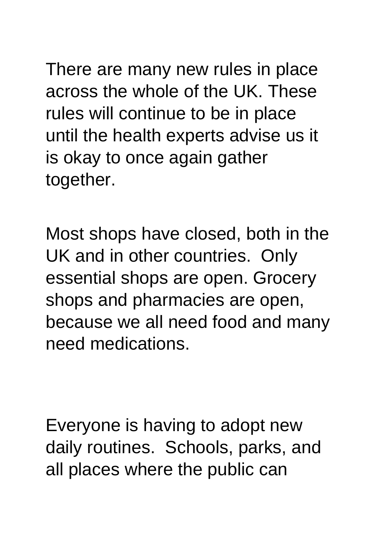There are many new rules in place across the whole of the UK. These rules will continue to be in place until the health experts advise us it is okay to once again gather together.

Most shops have closed, both in the UK and in other countries. Only essential shops are open. Grocery shops and pharmacies are open, because we all need food and many need medications.

Everyone is having to adopt new daily routines. Schools, parks, and all places where the public can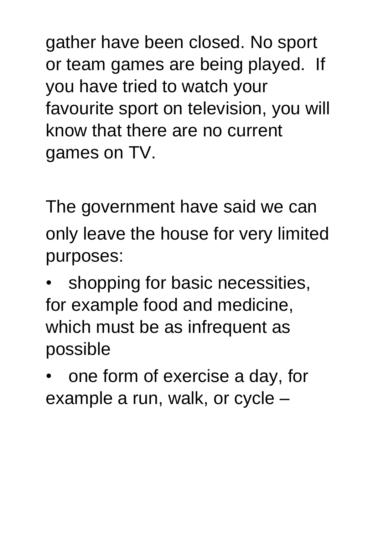gather have been closed. No sport or team games are being played. If you have tried to watch your favourite sport on television, you will know that there are no current games on TV.

The government have said we can only leave the house for very limited purposes:

shopping for basic necessities, for example food and medicine, which must be as infrequent as possible

• one form of exercise a day, for example a run, walk, or cycle –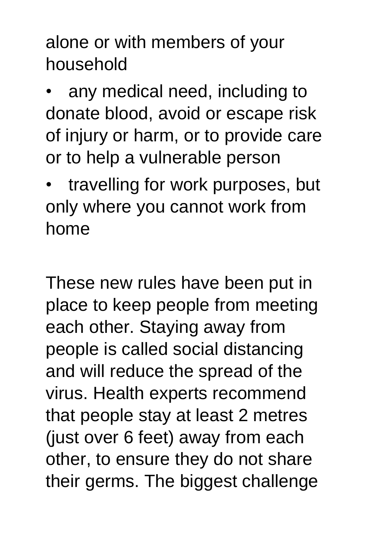alone or with members of your household

any medical need, including to donate blood, avoid or escape risk of injury or harm, or to provide care or to help a vulnerable person

travelling for work purposes, but only where you cannot work from home

These new rules have been put in place to keep people from meeting each other. Staying away from people is called social distancing and will reduce the spread of the virus. Health experts recommend that people stay at least 2 metres (just over 6 feet) away from each other, to ensure they do not share their germs. The biggest challenge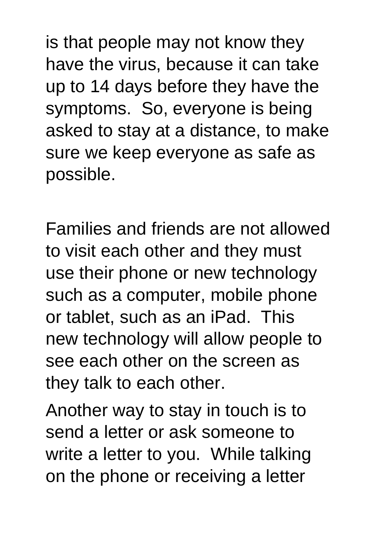is that people may not know they have the virus, because it can take up to 14 days before they have the symptoms. So, everyone is being asked to stay at a distance, to make sure we keep everyone as safe as possible.

Families and friends are not allowed to visit each other and they must use their phone or new technology such as a computer, mobile phone or tablet, such as an iPad. This new technology will allow people to see each other on the screen as they talk to each other.

Another way to stay in touch is to send a letter or ask someone to write a letter to you. While talking on the phone or receiving a letter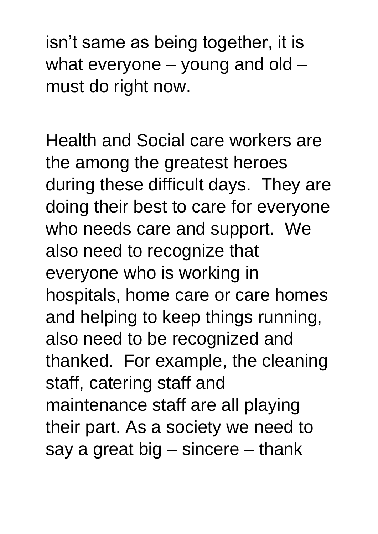isn't same as being together, it is what everyone – young and old – must do right now.

Health and Social care workers are the among the greatest heroes during these difficult days. They are doing their best to care for everyone who needs care and support. We also need to recognize that everyone who is working in hospitals, home care or care homes and helping to keep things running, also need to be recognized and thanked. For example, the cleaning staff, catering staff and maintenance staff are all playing their part. As a society we need to say a great big – sincere – thank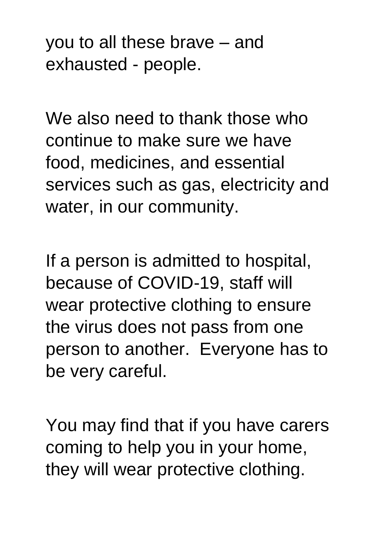you to all these brave – and exhausted - people.

We also need to thank those who continue to make sure we have food, medicines, and essential services such as gas, electricity and water, in our community.

If a person is admitted to hospital, because of COVID-19, staff will wear protective clothing to ensure the virus does not pass from one person to another. Everyone has to be very careful.

You may find that if you have carers coming to help you in your home, they will wear protective clothing.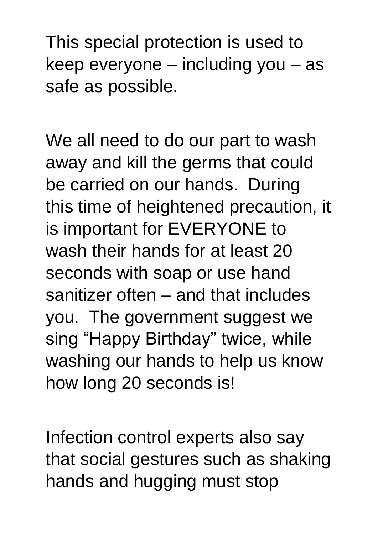This special protection is used to keep everyone – including you – as safe as possible.

We all need to do our part to wash away and kill the germs that could be carried on our hands. During this time of heightened precaution, it is important for EVERYONE to wash their hands for at least 20 seconds with soap or use hand sanitizer often – and that includes you. The government suggest we sing "Happy Birthday" twice, while washing our hands to help us know how long 20 seconds is!

Infection control experts also say that social gestures such as shaking hands and hugging must stop